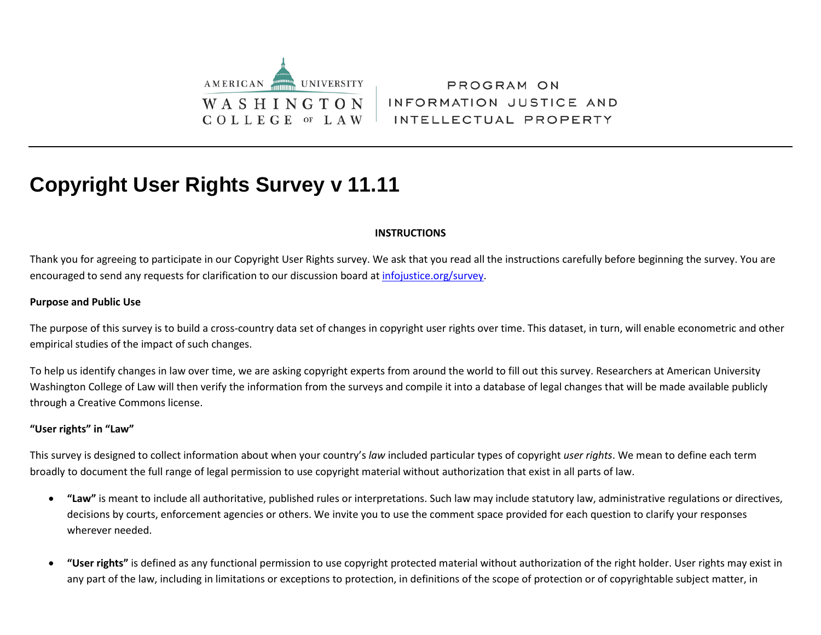

PROGRAM ON INFORMATION JUSTICE AND INTELLECTUAL PROPERTY

# **Copyright User Rights Survey v 11.11**

### **INSTRUCTIONS**

Thank you for agreeing to participate in our Copyright User Rights survey. We ask that you read all the instructions carefully before beginning the survey. You are encouraged to send any requests for clarification to our discussion board a[t infojustice.org/survey.](http://infojustice.org/survey)

#### **Purpose and Public Use**

The purpose of this survey is to build a cross-country data set of changes in copyright user rights over time. This dataset, in turn, will enable econometric and other empirical studies of the impact of such changes.

To help us identify changes in law over time, we are asking copyright experts from around the world to fill out this survey. Researchers at American University Washington College of Law will then verify the information from the surveys and compile it into a database of legal changes that will be made available publicly through a Creative Commons license.

#### **"User rights" in "Law"**

This survey is designed to collect information about when your country's *law* included particular types of copyright *user rights*. We mean to define each term broadly to document the full range of legal permission to use copyright material without authorization that exist in all parts of law.

- **"Law"** is meant to include all authoritative, published rules or interpretations. Such law may include statutory law, administrative regulations or directives, decisions by courts, enforcement agencies or others. We invite you to use the comment space provided for each question to clarify your responses wherever needed.
- **"User rights"** is defined as any functional permission to use copyright protected material without authorization of the right holder. User rights may exist in any part of the law, including in limitations or exceptions to protection, in definitions of the scope of protection or of copyrightable subject matter, in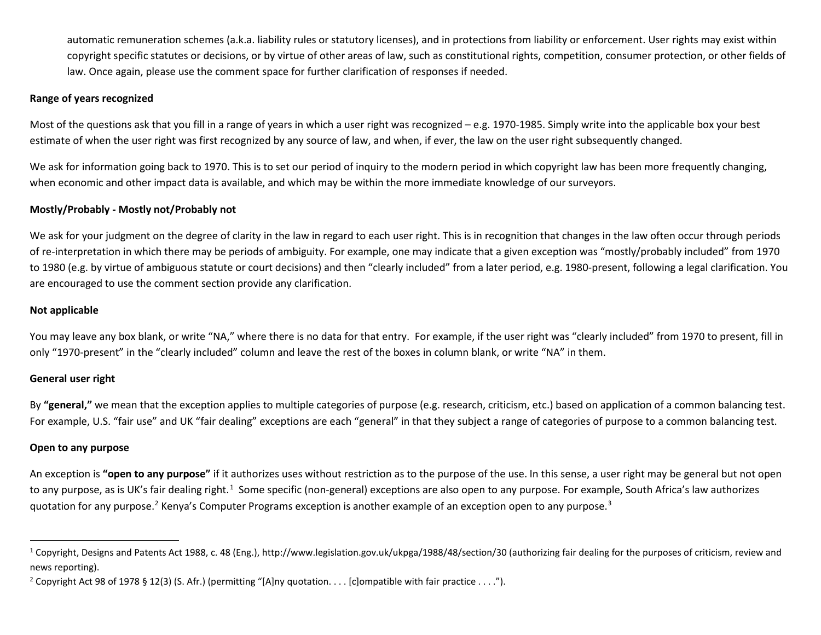<span id="page-1-2"></span><span id="page-1-1"></span><span id="page-1-0"></span>automatic remuneration schemes (a.k.a. liability rules or statutory licenses), and in protections from liability or enforcement. User rights may exist within copyright specific statutes or decisions, or by virtue of other areas of law, such as constitutional rights, competition, consumer protection, or other fields of law. Once again, please use the comment space for further clarification of responses if needed.

### **Range of years recognized**

Most of the questions ask that you fill in a range of years in which a user right was recognized – e.g. 1970-1985. Simply write into the applicable box your best estimate of when the user right was first recognized by any source of law, and when, if ever, the law on the user right subsequently changed.

We ask for information going back to 1970. This is to set our period of inquiry to the modern period in which copyright law has been more frequently changing, when economic and other impact data is available, and which may be within the more immediate knowledge of our surveyors.

### **Mostly/Probably - Mostly not/Probably not**

We ask for your judgment on the degree of clarity in the law in regard to each user right. This is in recognition that changes in the law often occur through periods of re-interpretation in which there may be periods of ambiguity. For example, one may indicate that a given exception was "mostly/probably included" from 1970 to 1980 (e.g. by virtue of ambiguous statute or court decisions) and then "clearly included" from a later period, e.g. 1980-present, following a legal clarification. You are encouraged to use the comment section provide any clarification.

#### **Not applicable**

You may leave any box blank, or write "NA," where there is no data for that entry. For example, if the user right was "clearly included" from 1970 to present, fill in only "1970-present" in the "clearly included" column and leave the rest of the boxes in column blank, or write "NA" in them.

#### **General user right**

By "general," we mean that the exception applies to multiple categories of purpose (e.g. research, criticism, etc.) based on application of a common balancing test. For example, U.S. "fair use" and UK "fair dealing" exceptions are each "general" in that they subject a range of categories of purpose to a common balancing test.

#### **Open to any purpose**

An exception is **"open to any purpose"** if it authorizes uses without restriction as to the purpose of the use. In this sense, a user right may be general but not open to any purpose, as is UK's fair dealing right.<sup>[1](#page-1-0)</sup> Some specific (non-general) exceptions are also open to any purpose. For example, South Africa's law authorizes quotation for any purpose.<sup>2</sup> Kenya's Computer Programs exception is another example of an exception open to any purpose.<sup>[3](#page-1-2)</sup>

<sup>&</sup>lt;sup>1</sup> Copyright, Designs and Patents Act 1988, c. 48 (Eng.), http://www.legislation.gov.uk/ukpga/1988/48/section/30 (authorizing fair dealing for the purposes of criticism, review and news reporting).

<sup>&</sup>lt;sup>2</sup> Copyright Act 98 of 1978 § 12(3) (S. Afr.) (permitting "[A]ny quotation. . . . [c]ompatible with fair practice . . . .").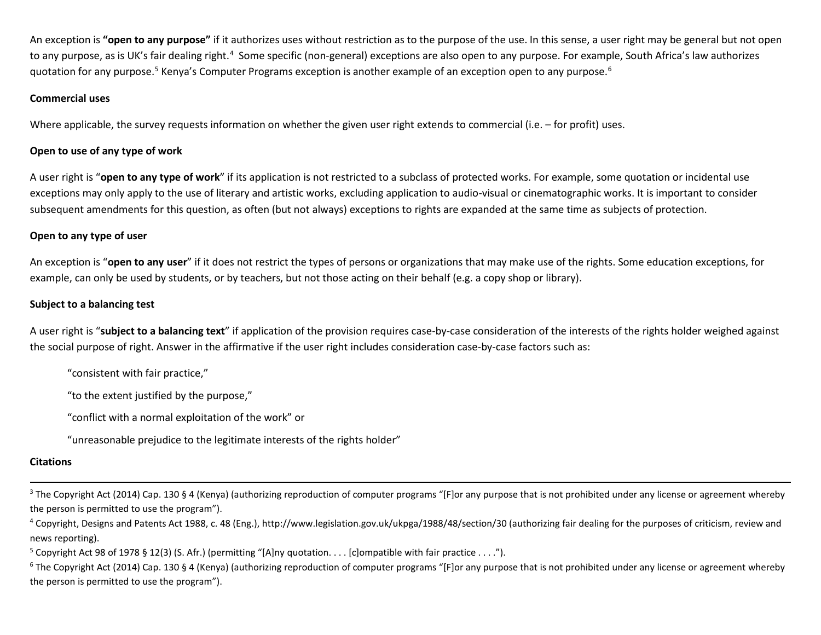<span id="page-2-2"></span><span id="page-2-1"></span><span id="page-2-0"></span>An exception is **"open to any purpose"** if it authorizes uses without restriction as to the purpose of the use. In this sense, a user right may be general but not open to any purpose, as is UK's fair dealing right.<sup>[4](#page-2-0)</sup> Some specific (non-general) exceptions are also open to any purpose. For example, South Africa's law authorizes quotation for any purpose.<sup>[5](#page-2-1)</sup> Kenya's Computer Programs exception is another example of an exception open to any purpose.<sup>[6](#page-2-2)</sup>

### **Commercial uses**

Where applicable, the survey requests information on whether the given user right extends to commercial (i.e. – for profit) uses.

### **Open to use of any type of work**

A user right is "**open to any type of work**" if its application is not restricted to a subclass of protected works. For example, some quotation or incidental use exceptions may only apply to the use of literary and artistic works, excluding application to audio-visual or cinematographic works. It is important to consider subsequent amendments for this question, as often (but not always) exceptions to rights are expanded at the same time as subjects of protection.

### **Open to any type of user**

An exception is "**open to any user**" if it does not restrict the types of persons or organizations that may make use of the rights. Some education exceptions, for example, can only be used by students, or by teachers, but not those acting on their behalf (e.g. a copy shop or library).

### **Subject to a balancing test**

A user right is "**subject to a balancing text**" if application of the provision requires case-by-case consideration of the interests of the rights holder weighed against the social purpose of right. Answer in the affirmative if the user right includes consideration case-by-case factors such as:

"consistent with fair practice,"

"to the extent justified by the purpose,"

"conflict with a normal exploitation of the work" or

"unreasonable prejudice to the legitimate interests of the rights holder"

#### **Citations**

- <sup>3</sup> The Copyright Act (2014) Cap. 130 § 4 (Kenya) (authorizing reproduction of computer programs "[F]or any purpose that is not prohibited under any license or agreement whereby the person is permitted to use the program").
- <sup>4</sup> Copyright, Designs and Patents Act 1988, c. 48 (Eng.), http://www.legislation.gov.uk/ukpga/1988/48/section/30 (authorizing fair dealing for the purposes of criticism, review and news reporting).

<sup>5</sup> Copyright Act 98 of 1978 § 12(3) (S. Afr.) (permitting "[A]ny quotation. . . . [c]ompatible with fair practice . . . .").

 $6$  The Copyright Act (2014) Cap. 130 § 4 (Kenya) (authorizing reproduction of computer programs "[F]or any purpose that is not prohibited under any license or agreement whereby the person is permitted to use the program").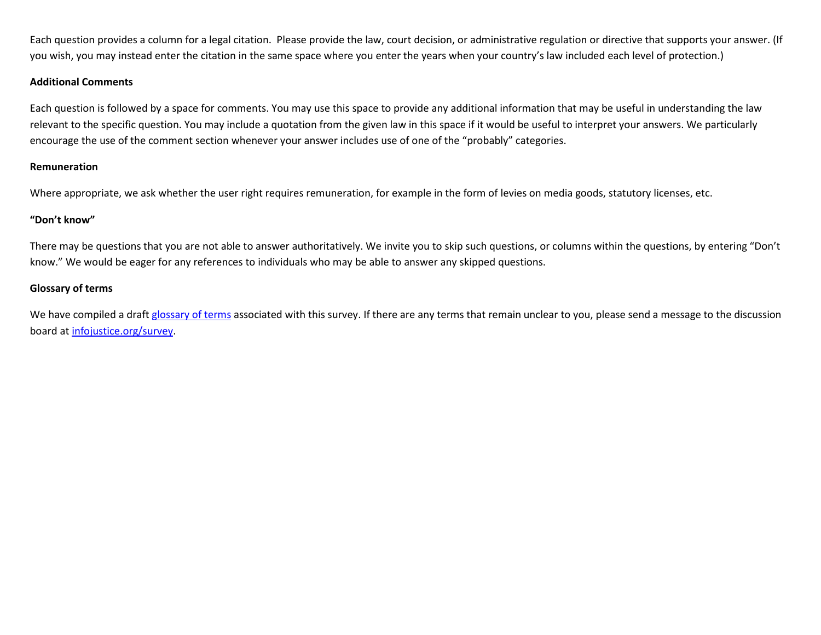Each question provides a column for a legal citation. Please provide the law, court decision, or administrative regulation or directive that supports your answer. (If you wish, you may instead enter the citation in the same space where you enter the years when your country's law included each level of protection.)

#### **Additional Comments**

Each question is followed by a space for comments. You may use this space to provide any additional information that may be useful in understanding the law relevant to the specific question. You may include a quotation from the given law in this space if it would be useful to interpret your answers. We particularly encourage the use of the comment section whenever your answer includes use of one of the "probably" categories.

#### **Remuneration**

Where appropriate, we ask whether the user right requires remuneration, for example in the form of levies on media goods, statutory licenses, etc.

#### **"Don't know"**

There may be questions that you are not able to answer authoritatively. We invite you to skip such questions, or columns within the questions, by entering "Don't know." We would be eager for any references to individuals who may be able to answer any skipped questions.

### **Glossary of terms**

We have compiled a draft [glossary of terms](http://www.pijip.org/wp-content/uploads/2015/08/glossary-2-MPP.pdf) associated with this survey. If there are any terms that remain unclear to you, please send a message to the discussion board at [infojustice.org/survey.](http://infojustice.org/survey)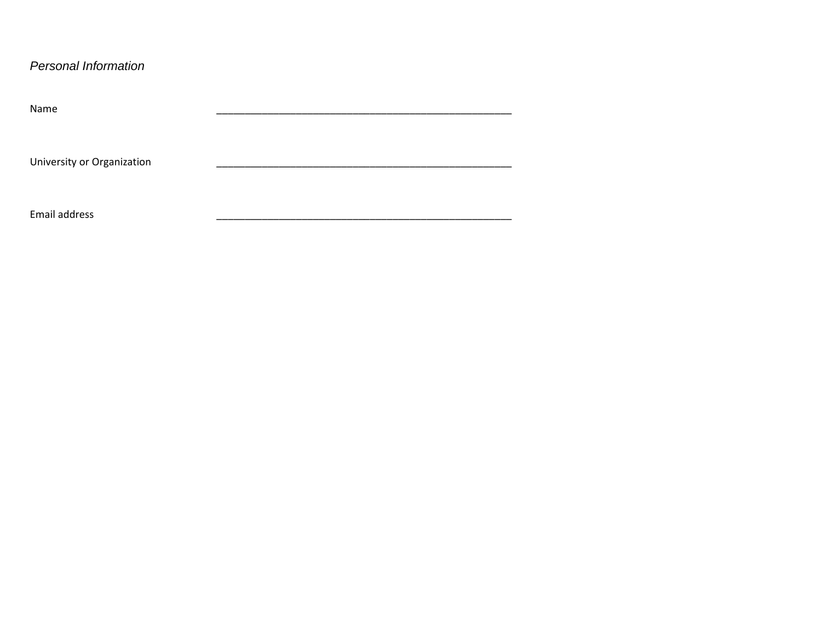### Personal Information

| Name                       |  |  |  |  |  |  |
|----------------------------|--|--|--|--|--|--|
|                            |  |  |  |  |  |  |
|                            |  |  |  |  |  |  |
| University or Organization |  |  |  |  |  |  |
|                            |  |  |  |  |  |  |
|                            |  |  |  |  |  |  |
| Email address              |  |  |  |  |  |  |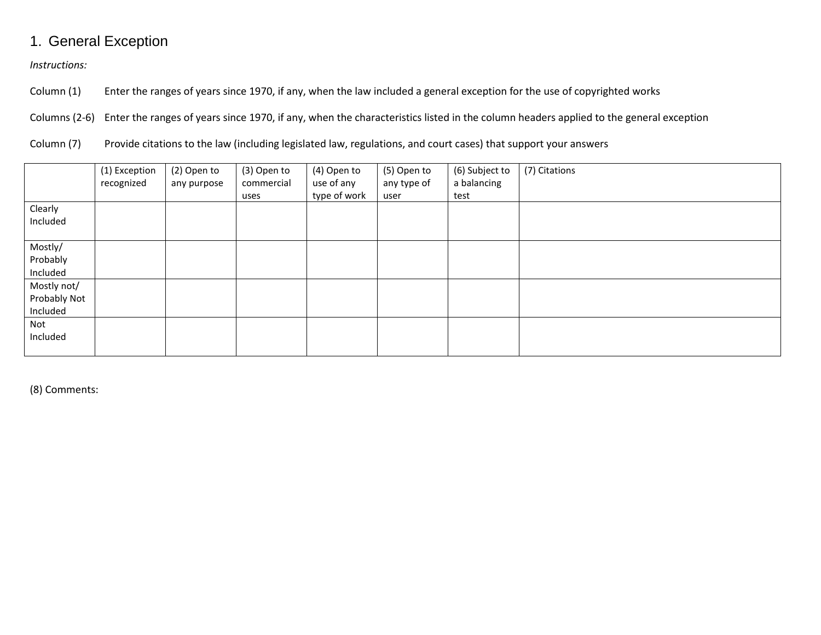# 1. General Exception

*Instructions:*

Column (1) Enter the ranges of years since 1970, if any, when the law included a general exception for the use of copyrighted works

Columns (2-6) Enter the ranges of years since 1970, if any, when the characteristics listed in the column headers applied to the general exception

Column (7) Provide citations to the law (including legislated law, regulations, and court cases) that support your answers

|                                         | (1) Exception<br>recognized | (2) Open to<br>any purpose | (3) Open to<br>commercial<br>uses | (4) Open to<br>use of any<br>type of work | (5) Open to<br>any type of<br>user | (6) Subject to<br>a balancing<br>test | (7) Citations |
|-----------------------------------------|-----------------------------|----------------------------|-----------------------------------|-------------------------------------------|------------------------------------|---------------------------------------|---------------|
| Clearly<br>Included                     |                             |                            |                                   |                                           |                                    |                                       |               |
| Mostly/<br>Probably<br>Included         |                             |                            |                                   |                                           |                                    |                                       |               |
| Mostly not/<br>Probably Not<br>Included |                             |                            |                                   |                                           |                                    |                                       |               |
| Not<br>Included                         |                             |                            |                                   |                                           |                                    |                                       |               |

(8) Comments: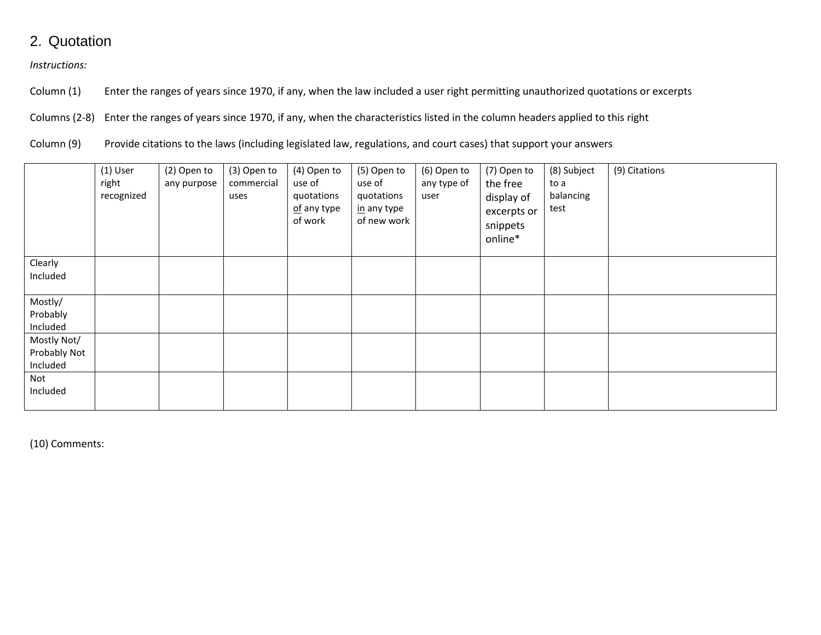### 2. Quotation

*Instructions:*

Column (1) Enter the ranges of years since 1970, if any, when the law included a user right permitting unauthorized quotations or excerpts

Columns (2-8) Enter the ranges of years since 1970, if any, when the characteristics listed in the column headers applied to this right

Column (9) Provide citations to the laws (including legislated law, regulations, and court cases) that support your answers

|                                         | $(1)$ User<br>right<br>recognized | (2) Open to<br>any purpose | (3) Open to<br>commercial<br>uses | (4) Open to<br>use of<br>quotations<br>of any type<br>of work | (5) Open to<br>use of<br>quotations<br>in any type<br>of new work | (6) Open to<br>any type of<br>user | (7) Open to<br>the free<br>display of<br>excerpts or<br>snippets<br>online* | (8) Subject<br>to a<br>balancing<br>test | (9) Citations |
|-----------------------------------------|-----------------------------------|----------------------------|-----------------------------------|---------------------------------------------------------------|-------------------------------------------------------------------|------------------------------------|-----------------------------------------------------------------------------|------------------------------------------|---------------|
| Clearly<br>Included                     |                                   |                            |                                   |                                                               |                                                                   |                                    |                                                                             |                                          |               |
| Mostly/<br>Probably<br>Included         |                                   |                            |                                   |                                                               |                                                                   |                                    |                                                                             |                                          |               |
| Mostly Not/<br>Probably Not<br>Included |                                   |                            |                                   |                                                               |                                                                   |                                    |                                                                             |                                          |               |
| Not<br>Included                         |                                   |                            |                                   |                                                               |                                                                   |                                    |                                                                             |                                          |               |

(10) Comments: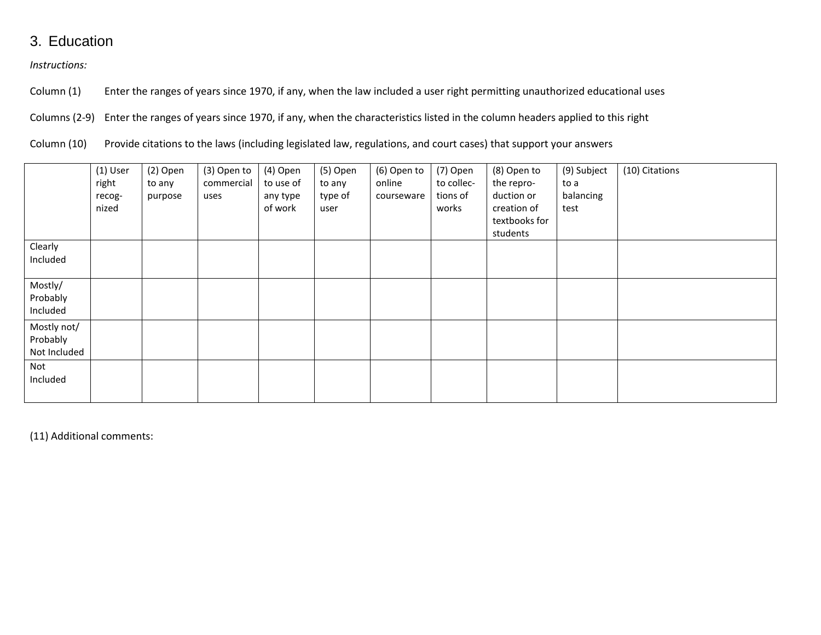### 3. Education

*Instructions:*

Column (1) Enter the ranges of years since 1970, if any, when the law included a user right permitting unauthorized educational uses

Columns (2-9) Enter the ranges of years since 1970, if any, when the characteristics listed in the column headers applied to this right

Column (10) Provide citations to the laws (including legislated law, regulations, and court cases) that support your answers

|                                         | $(1)$ User<br>right<br>recog-<br>nized | (2) Open<br>to any<br>purpose | (3) Open to<br>commercial<br>uses | (4) Open<br>to use of<br>any type<br>of work | (5) Open<br>to any<br>type of<br>user | (6) Open to<br>online<br>courseware | (7) Open<br>to collec-<br>tions of<br>works | (8) Open to<br>the repro-<br>duction or<br>creation of<br>textbooks for<br>students | (9) Subject<br>to a<br>balancing<br>test | (10) Citations |
|-----------------------------------------|----------------------------------------|-------------------------------|-----------------------------------|----------------------------------------------|---------------------------------------|-------------------------------------|---------------------------------------------|-------------------------------------------------------------------------------------|------------------------------------------|----------------|
| Clearly<br>Included                     |                                        |                               |                                   |                                              |                                       |                                     |                                             |                                                                                     |                                          |                |
| Mostly/<br>Probably<br>Included         |                                        |                               |                                   |                                              |                                       |                                     |                                             |                                                                                     |                                          |                |
| Mostly not/<br>Probably<br>Not Included |                                        |                               |                                   |                                              |                                       |                                     |                                             |                                                                                     |                                          |                |
| Not<br>Included                         |                                        |                               |                                   |                                              |                                       |                                     |                                             |                                                                                     |                                          |                |

(11) Additional comments: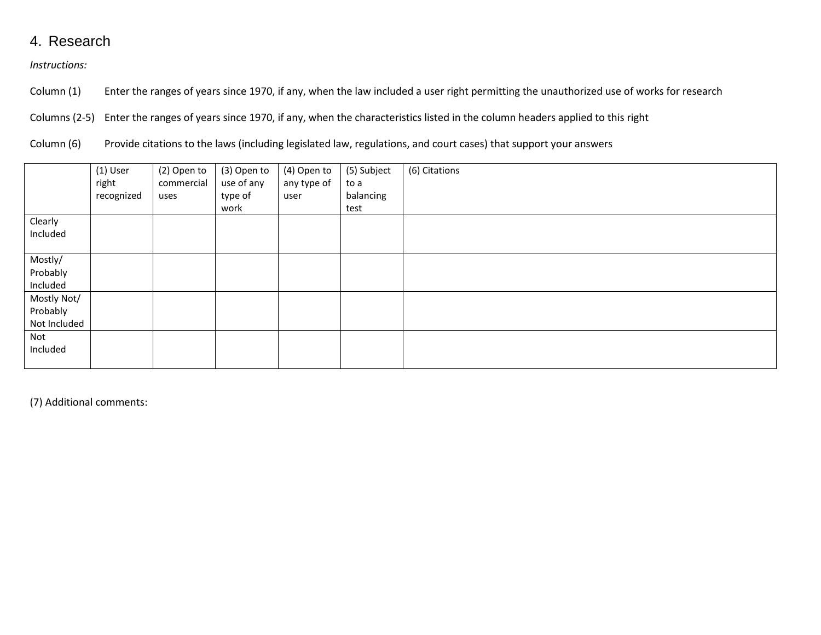### 4. Research

*Instructions:*

Column (1) Enter the ranges of years since 1970, if any, when the law included a user right permitting the unauthorized use of works for research

Columns (2-5) Enter the ranges of years since 1970, if any, when the characteristics listed in the column headers applied to this right

Column (6) Provide citations to the laws (including legislated law, regulations, and court cases) that support your answers

|              | $(1)$ User<br>right<br>recognized | (2) Open to<br>commercial<br>uses | (3) Open to<br>use of any<br>type of<br>work | (4) Open to<br>any type of<br>user | (5) Subject<br>to a<br>balancing<br>test | (6) Citations |
|--------------|-----------------------------------|-----------------------------------|----------------------------------------------|------------------------------------|------------------------------------------|---------------|
| Clearly      |                                   |                                   |                                              |                                    |                                          |               |
| Included     |                                   |                                   |                                              |                                    |                                          |               |
|              |                                   |                                   |                                              |                                    |                                          |               |
| Mostly/      |                                   |                                   |                                              |                                    |                                          |               |
| Probably     |                                   |                                   |                                              |                                    |                                          |               |
| Included     |                                   |                                   |                                              |                                    |                                          |               |
| Mostly Not/  |                                   |                                   |                                              |                                    |                                          |               |
| Probably     |                                   |                                   |                                              |                                    |                                          |               |
| Not Included |                                   |                                   |                                              |                                    |                                          |               |
| Not          |                                   |                                   |                                              |                                    |                                          |               |
| Included     |                                   |                                   |                                              |                                    |                                          |               |
|              |                                   |                                   |                                              |                                    |                                          |               |

(7) Additional comments: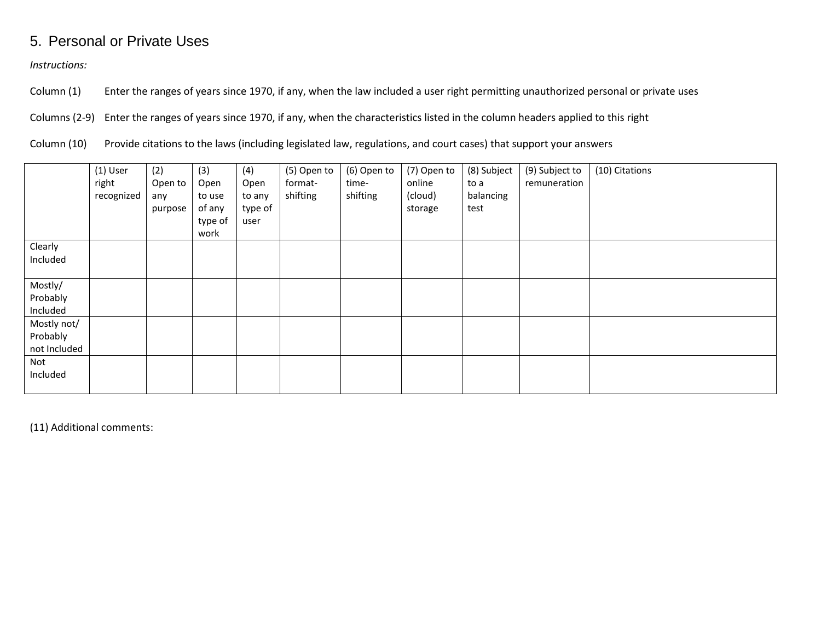### 5. Personal or Private Uses

*Instructions:*

Column (1) Enter the ranges of years since 1970, if any, when the law included a user right permitting unauthorized personal or private uses

Columns (2-9) Enter the ranges of years since 1970, if any, when the characteristics listed in the column headers applied to this right

Column (10) Provide citations to the laws (including legislated law, regulations, and court cases) that support your answers

|                                         | $(1)$ User<br>right<br>recognized | (2)<br>Open to<br>any<br>purpose | (3)<br>Open<br>to use<br>of any<br>type of<br>work | (4)<br>Open<br>to any<br>type of<br>user | (5) Open to<br>format-<br>shifting | (6) Open to<br>time-<br>shifting | (7) Open to<br>online<br>(cloud)<br>storage | (8) Subject<br>to a<br>balancing<br>test | (9) Subject to<br>remuneration | (10) Citations |
|-----------------------------------------|-----------------------------------|----------------------------------|----------------------------------------------------|------------------------------------------|------------------------------------|----------------------------------|---------------------------------------------|------------------------------------------|--------------------------------|----------------|
| Clearly<br>Included                     |                                   |                                  |                                                    |                                          |                                    |                                  |                                             |                                          |                                |                |
| Mostly/<br>Probably<br>Included         |                                   |                                  |                                                    |                                          |                                    |                                  |                                             |                                          |                                |                |
| Mostly not/<br>Probably<br>not Included |                                   |                                  |                                                    |                                          |                                    |                                  |                                             |                                          |                                |                |
| Not<br>Included                         |                                   |                                  |                                                    |                                          |                                    |                                  |                                             |                                          |                                |                |

(11) Additional comments: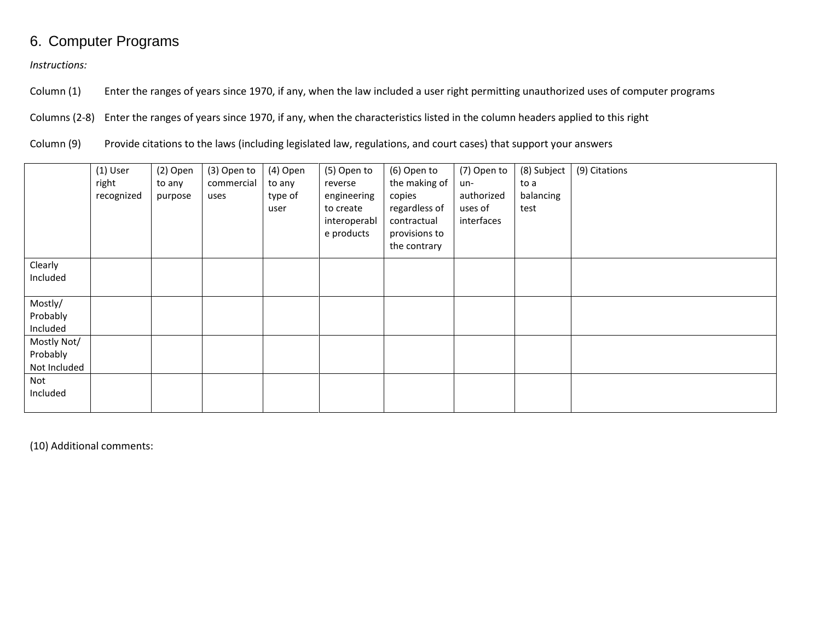# 6. Computer Programs

*Instructions:*

Column (1) Enter the ranges of years since 1970, if any, when the law included a user right permitting unauthorized uses of computer programs

Columns (2-8) Enter the ranges of years since 1970, if any, when the characteristics listed in the column headers applied to this right

Column (9) Provide citations to the laws (including legislated law, regulations, and court cases) that support your answers

|                                         | $(1)$ User<br>right<br>recognized | (2) Open<br>to any<br>purpose | (3) Open to<br>commercial<br>uses | (4) Open<br>to any<br>type of<br>user | (5) Open to<br>reverse<br>engineering<br>to create<br>interoperabl<br>e products | (6) Open to<br>the making of<br>copies<br>regardless of<br>contractual<br>provisions to<br>the contrary | (7) Open to<br>un-<br>authorized<br>uses of<br>interfaces | (8) Subject<br>to a<br>balancing<br>test | (9) Citations |
|-----------------------------------------|-----------------------------------|-------------------------------|-----------------------------------|---------------------------------------|----------------------------------------------------------------------------------|---------------------------------------------------------------------------------------------------------|-----------------------------------------------------------|------------------------------------------|---------------|
| Clearly<br>Included                     |                                   |                               |                                   |                                       |                                                                                  |                                                                                                         |                                                           |                                          |               |
| Mostly/<br>Probably<br>Included         |                                   |                               |                                   |                                       |                                                                                  |                                                                                                         |                                                           |                                          |               |
| Mostly Not/<br>Probably<br>Not Included |                                   |                               |                                   |                                       |                                                                                  |                                                                                                         |                                                           |                                          |               |
| Not<br>Included                         |                                   |                               |                                   |                                       |                                                                                  |                                                                                                         |                                                           |                                          |               |

(10) Additional comments: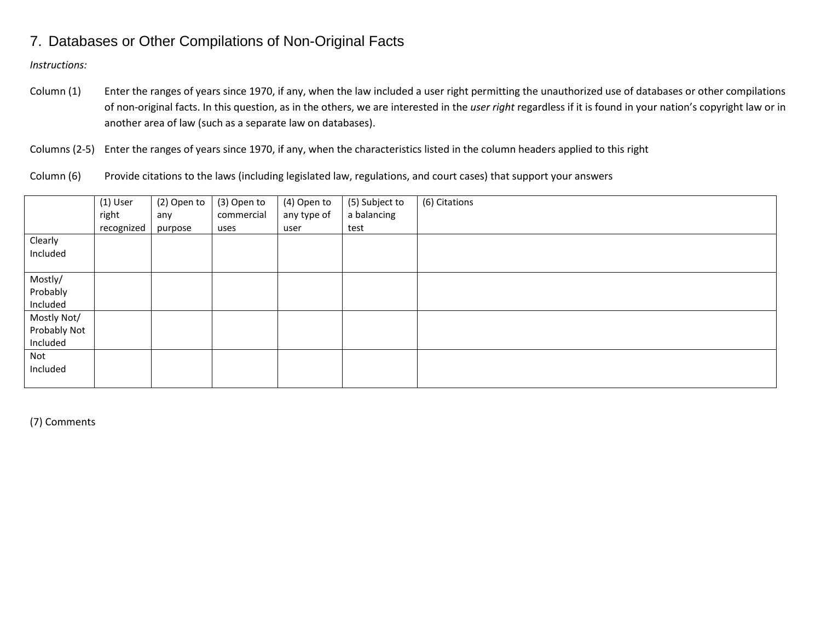### 7. Databases or Other Compilations of Non-Original Facts

*Instructions:*

Column (1) Enter the ranges of years since 1970, if any, when the law included a user right permitting the unauthorized use of databases or other compilations of non-original facts. In this question, as in the others, we are interested in the *user right* regardless if it is found in your nation's copyright law or in another area of law (such as a separate law on databases).

Columns (2-5) Enter the ranges of years since 1970, if any, when the characteristics listed in the column headers applied to this right

Column (6) Provide citations to the laws (including legislated law, regulations, and court cases) that support your answers

|              | $(1)$ User | (2) Open to | (3) Open to | (4) Open to | (5) Subject to | (6) Citations |
|--------------|------------|-------------|-------------|-------------|----------------|---------------|
|              | right      | any         | commercial  | any type of | a balancing    |               |
|              | recognized | purpose     | uses        | user        | test           |               |
| Clearly      |            |             |             |             |                |               |
| Included     |            |             |             |             |                |               |
|              |            |             |             |             |                |               |
| Mostly/      |            |             |             |             |                |               |
| Probably     |            |             |             |             |                |               |
| Included     |            |             |             |             |                |               |
| Mostly Not/  |            |             |             |             |                |               |
| Probably Not |            |             |             |             |                |               |
| Included     |            |             |             |             |                |               |
| Not          |            |             |             |             |                |               |
| Included     |            |             |             |             |                |               |
|              |            |             |             |             |                |               |

(7) Comments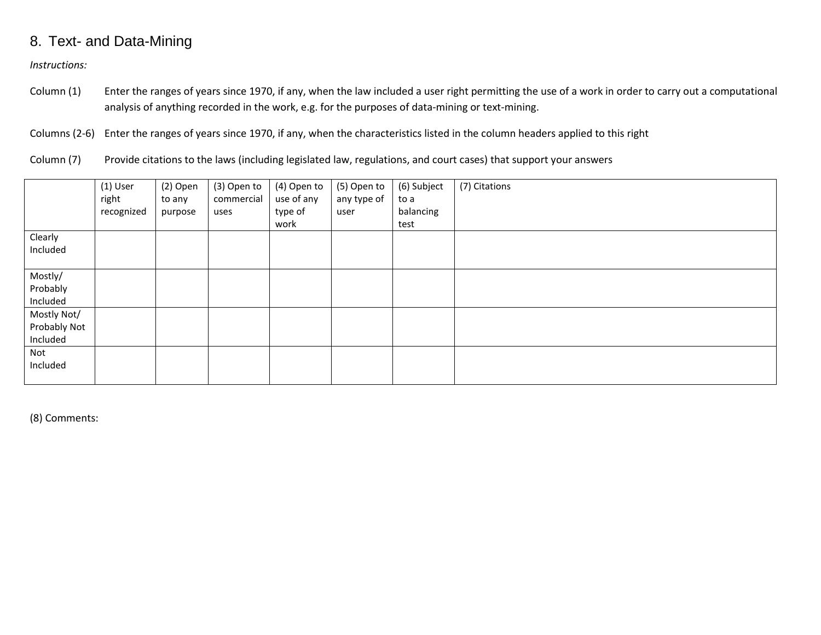### 8. Text- and Data-Mining

*Instructions:*

Column (1) Enter the ranges of years since 1970, if any, when the law included a user right permitting the use of a work in order to carry out a computational analysis of anything recorded in the work, e.g. for the purposes of data-mining or text-mining.

Columns (2-6) Enter the ranges of years since 1970, if any, when the characteristics listed in the column headers applied to this right

Column (7) Provide citations to the laws (including legislated law, regulations, and court cases) that support your answers

|              | (1) User   | (2) Open | (3) Open to | (4) Open to | (5) Open to | (6) Subject | (7) Citations |
|--------------|------------|----------|-------------|-------------|-------------|-------------|---------------|
|              | right      | to any   | commercial  | use of any  | any type of | to a        |               |
|              | recognized | purpose  | uses        | type of     | user        | balancing   |               |
|              |            |          |             | work        |             | test        |               |
| Clearly      |            |          |             |             |             |             |               |
| Included     |            |          |             |             |             |             |               |
|              |            |          |             |             |             |             |               |
| Mostly/      |            |          |             |             |             |             |               |
| Probably     |            |          |             |             |             |             |               |
| Included     |            |          |             |             |             |             |               |
| Mostly Not/  |            |          |             |             |             |             |               |
| Probably Not |            |          |             |             |             |             |               |
| Included     |            |          |             |             |             |             |               |
| Not          |            |          |             |             |             |             |               |
| Included     |            |          |             |             |             |             |               |
|              |            |          |             |             |             |             |               |

(8) Comments: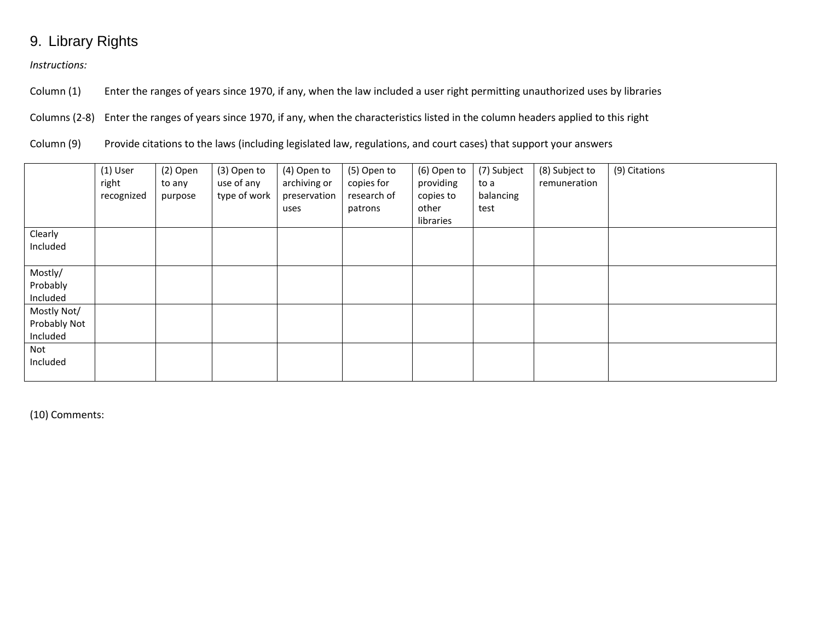# 9. Library Rights

*Instructions:*

Column (1) Enter the ranges of years since 1970, if any, when the law included a user right permitting unauthorized uses by libraries

Columns (2-8) Enter the ranges of years since 1970, if any, when the characteristics listed in the column headers applied to this right

Column (9) Provide citations to the laws (including legislated law, regulations, and court cases) that support your answers

|              | $(1)$ User<br>right<br>recognized | $(2)$ Open<br>to any<br>purpose | (3) Open to<br>use of any<br>type of work | (4) Open to<br>archiving or<br>preservation<br>uses | (5) Open to<br>copies for<br>research of<br>patrons | (6) Open to<br>providing<br>copies to<br>other<br>libraries | (7) Subject<br>to a<br>balancing<br>test | (8) Subject to<br>remuneration | (9) Citations |
|--------------|-----------------------------------|---------------------------------|-------------------------------------------|-----------------------------------------------------|-----------------------------------------------------|-------------------------------------------------------------|------------------------------------------|--------------------------------|---------------|
| Clearly      |                                   |                                 |                                           |                                                     |                                                     |                                                             |                                          |                                |               |
| Included     |                                   |                                 |                                           |                                                     |                                                     |                                                             |                                          |                                |               |
| Mostly/      |                                   |                                 |                                           |                                                     |                                                     |                                                             |                                          |                                |               |
| Probably     |                                   |                                 |                                           |                                                     |                                                     |                                                             |                                          |                                |               |
| Included     |                                   |                                 |                                           |                                                     |                                                     |                                                             |                                          |                                |               |
| Mostly Not/  |                                   |                                 |                                           |                                                     |                                                     |                                                             |                                          |                                |               |
| Probably Not |                                   |                                 |                                           |                                                     |                                                     |                                                             |                                          |                                |               |
| Included     |                                   |                                 |                                           |                                                     |                                                     |                                                             |                                          |                                |               |
| Not          |                                   |                                 |                                           |                                                     |                                                     |                                                             |                                          |                                |               |
| Included     |                                   |                                 |                                           |                                                     |                                                     |                                                             |                                          |                                |               |
|              |                                   |                                 |                                           |                                                     |                                                     |                                                             |                                          |                                |               |

(10) Comments: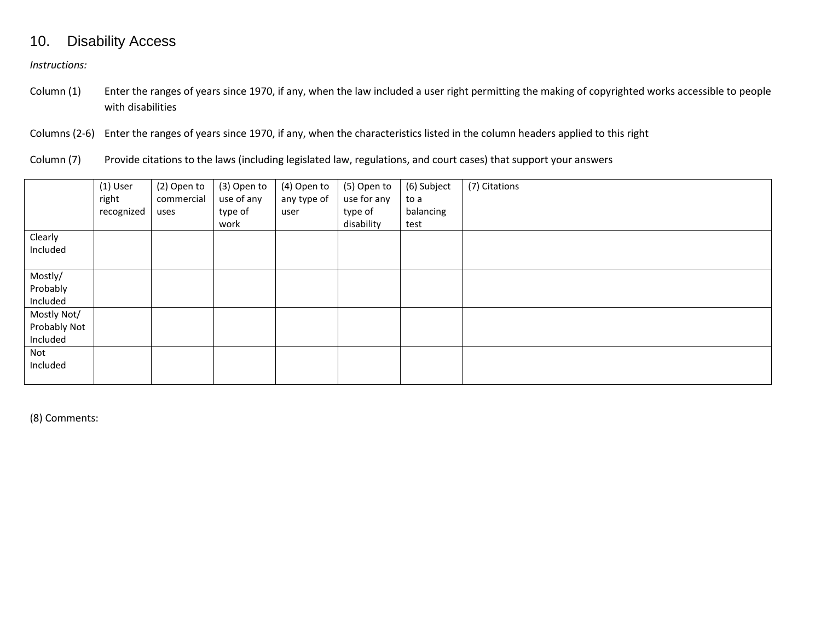### 10. Disability Access

*Instructions:*

- Column (1) Enter the ranges of years since 1970, if any, when the law included a user right permitting the making of copyrighted works accessible to people with disabilities
- Columns (2-6) Enter the ranges of years since 1970, if any, when the characteristics listed in the column headers applied to this right
- Column (7) Provide citations to the laws (including legislated law, regulations, and court cases) that support your answers

|              | $(1)$ User<br>right<br>recognized | (2) Open to<br>commercial<br>uses | (3) Open to<br>use of any<br>type of | (4) Open to<br>any type of<br>user | (5) Open to<br>use for any<br>type of | (6) Subject<br>to a<br>balancing | (7) Citations |
|--------------|-----------------------------------|-----------------------------------|--------------------------------------|------------------------------------|---------------------------------------|----------------------------------|---------------|
|              |                                   |                                   | work                                 |                                    | disability                            | test                             |               |
| Clearly      |                                   |                                   |                                      |                                    |                                       |                                  |               |
| Included     |                                   |                                   |                                      |                                    |                                       |                                  |               |
|              |                                   |                                   |                                      |                                    |                                       |                                  |               |
| Mostly/      |                                   |                                   |                                      |                                    |                                       |                                  |               |
| Probably     |                                   |                                   |                                      |                                    |                                       |                                  |               |
| Included     |                                   |                                   |                                      |                                    |                                       |                                  |               |
| Mostly Not/  |                                   |                                   |                                      |                                    |                                       |                                  |               |
| Probably Not |                                   |                                   |                                      |                                    |                                       |                                  |               |
| Included     |                                   |                                   |                                      |                                    |                                       |                                  |               |
| Not          |                                   |                                   |                                      |                                    |                                       |                                  |               |
| Included     |                                   |                                   |                                      |                                    |                                       |                                  |               |
|              |                                   |                                   |                                      |                                    |                                       |                                  |               |

(8) Comments: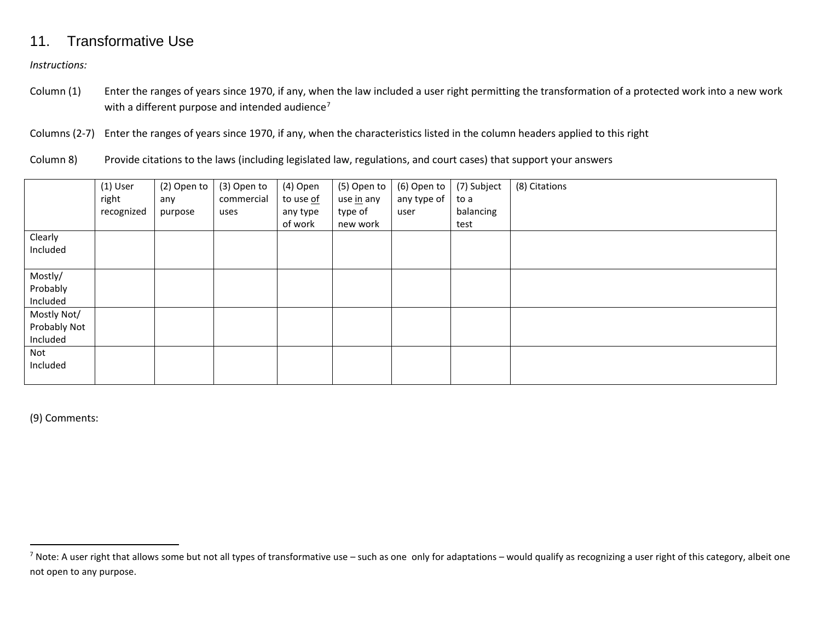### <span id="page-15-0"></span>11. Transformative Use

*Instructions:*

Column (1) Enter the ranges of years since 1970, if any, when the law included a user right permitting the transformation of a protected work into a new work with a different purpose and intended audience<sup>[7](#page-15-0)</sup>

Columns (2-7) Enter the ranges of years since 1970, if any, when the characteristics listed in the column headers applied to this right

Column 8) Provide citations to the laws (including legislated law, regulations, and court cases) that support your answers

|              | $(1)$ User | (2) Open to | (3) Open to | (4) Open  | (5) Open to | (6) Open to | (7) Subject | (8) Citations |
|--------------|------------|-------------|-------------|-----------|-------------|-------------|-------------|---------------|
|              | right      | any         | commercial  | to use of | use in any  | any type of | to a        |               |
|              | recognized | purpose     | uses        | any type  | type of     | user        | balancing   |               |
|              |            |             |             | of work   | new work    |             | test        |               |
| Clearly      |            |             |             |           |             |             |             |               |
| Included     |            |             |             |           |             |             |             |               |
|              |            |             |             |           |             |             |             |               |
| Mostly/      |            |             |             |           |             |             |             |               |
| Probably     |            |             |             |           |             |             |             |               |
| Included     |            |             |             |           |             |             |             |               |
| Mostly Not/  |            |             |             |           |             |             |             |               |
| Probably Not |            |             |             |           |             |             |             |               |
| Included     |            |             |             |           |             |             |             |               |
| Not          |            |             |             |           |             |             |             |               |
| Included     |            |             |             |           |             |             |             |               |
|              |            |             |             |           |             |             |             |               |

(9) Comments:

 $^7$  Note: A user right that allows some but not all types of transformative use – such as one only for adaptations – would qualify as recognizing a user right of this category, albeit one not open to any purpose.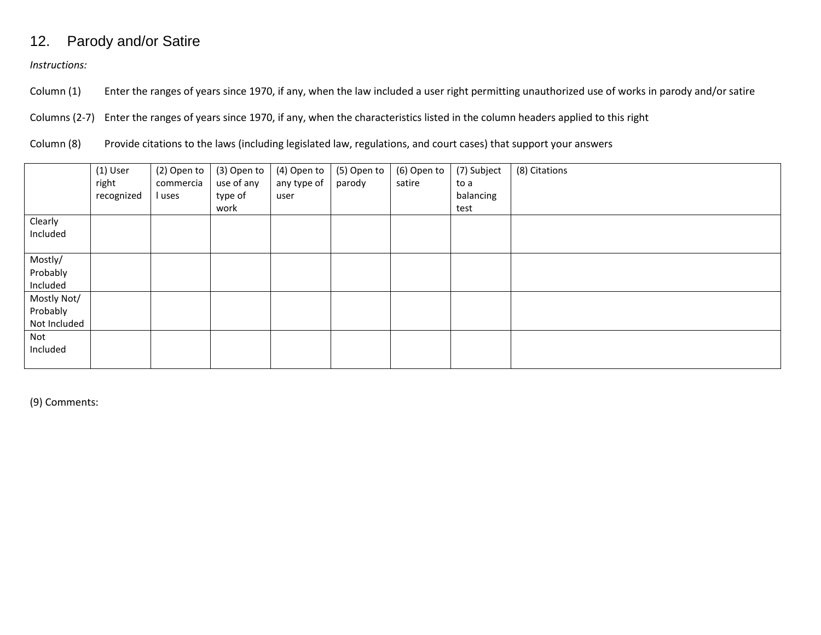# 12. Parody and/or Satire

*Instructions:*

Column (1) Enter the ranges of years since 1970, if any, when the law included a user right permitting unauthorized use of works in parody and/or satire

Columns (2-7) Enter the ranges of years since 1970, if any, when the characteristics listed in the column headers applied to this right

Column (8) Provide citations to the laws (including legislated law, regulations, and court cases) that support your answers

|              | $(1)$ User<br>right | (2) Open to<br>commercia | (3) Open to<br>use of any | (4) Open to<br>any type of | (5) Open to<br>parody | (6) Open to<br>satire | (7) Subject<br>to a | (8) Citations |
|--------------|---------------------|--------------------------|---------------------------|----------------------------|-----------------------|-----------------------|---------------------|---------------|
|              | recognized          | l uses                   | type of                   | user                       |                       |                       | balancing           |               |
|              |                     |                          | work                      |                            |                       |                       | test                |               |
| Clearly      |                     |                          |                           |                            |                       |                       |                     |               |
| Included     |                     |                          |                           |                            |                       |                       |                     |               |
|              |                     |                          |                           |                            |                       |                       |                     |               |
| Mostly/      |                     |                          |                           |                            |                       |                       |                     |               |
| Probably     |                     |                          |                           |                            |                       |                       |                     |               |
| Included     |                     |                          |                           |                            |                       |                       |                     |               |
| Mostly Not/  |                     |                          |                           |                            |                       |                       |                     |               |
| Probably     |                     |                          |                           |                            |                       |                       |                     |               |
| Not Included |                     |                          |                           |                            |                       |                       |                     |               |
| Not          |                     |                          |                           |                            |                       |                       |                     |               |
| Included     |                     |                          |                           |                            |                       |                       |                     |               |
|              |                     |                          |                           |                            |                       |                       |                     |               |

(9) Comments: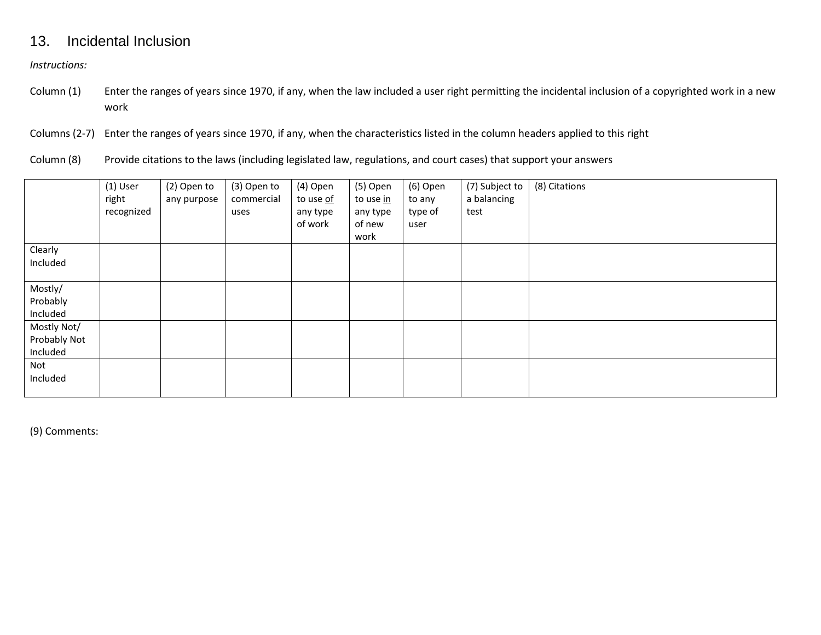### 13. Incidental Inclusion

*Instructions:*

- Column (1) Enter the ranges of years since 1970, if any, when the law included a user right permitting the incidental inclusion of a copyrighted work in a new work
- Columns (2-7) Enter the ranges of years since 1970, if any, when the characteristics listed in the column headers applied to this right
- Column (8) Provide citations to the laws (including legislated law, regulations, and court cases) that support your answers

|              | $(1)$ User<br>right<br>recognized | (2) Open to<br>any purpose | (3) Open to<br>commercial<br>uses | (4) Open<br>to use of<br>any type<br>of work | (5) Open<br>to use in<br>any type<br>of new<br>work | (6) Open<br>to any<br>type of<br>user | (7) Subject to<br>a balancing<br>test | (8) Citations |
|--------------|-----------------------------------|----------------------------|-----------------------------------|----------------------------------------------|-----------------------------------------------------|---------------------------------------|---------------------------------------|---------------|
| Clearly      |                                   |                            |                                   |                                              |                                                     |                                       |                                       |               |
| Included     |                                   |                            |                                   |                                              |                                                     |                                       |                                       |               |
| Mostly/      |                                   |                            |                                   |                                              |                                                     |                                       |                                       |               |
| Probably     |                                   |                            |                                   |                                              |                                                     |                                       |                                       |               |
| Included     |                                   |                            |                                   |                                              |                                                     |                                       |                                       |               |
| Mostly Not/  |                                   |                            |                                   |                                              |                                                     |                                       |                                       |               |
| Probably Not |                                   |                            |                                   |                                              |                                                     |                                       |                                       |               |
| Included     |                                   |                            |                                   |                                              |                                                     |                                       |                                       |               |
| Not          |                                   |                            |                                   |                                              |                                                     |                                       |                                       |               |
| Included     |                                   |                            |                                   |                                              |                                                     |                                       |                                       |               |
|              |                                   |                            |                                   |                                              |                                                     |                                       |                                       |               |

(9) Comments: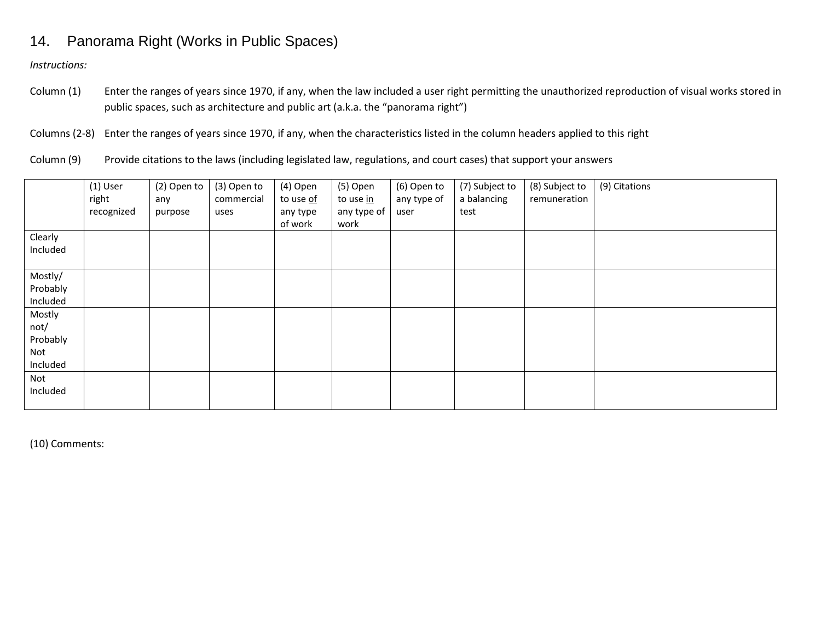# 14. Panorama Right (Works in Public Spaces)

*Instructions:*

- Column (1) Enter the ranges of years since 1970, if any, when the law included a user right permitting the unauthorized reproduction of visual works stored in public spaces, such as architecture and public art (a.k.a. the "panorama right")
- Columns (2-8) Enter the ranges of years since 1970, if any, when the characteristics listed in the column headers applied to this right

Column (9) Provide citations to the laws (including legislated law, regulations, and court cases) that support your answers

|          | $(1)$ User<br>right<br>recognized | (2) Open to<br>any<br>purpose | (3) Open to<br>commercial<br>uses | (4) Open<br>to use <u>of</u><br>any type<br>of work | (5) Open<br>to use in<br>any type of<br>work | (6) Open to<br>any type of<br>user | (7) Subject to<br>a balancing<br>test | (8) Subject to<br>remuneration | (9) Citations |
|----------|-----------------------------------|-------------------------------|-----------------------------------|-----------------------------------------------------|----------------------------------------------|------------------------------------|---------------------------------------|--------------------------------|---------------|
| Clearly  |                                   |                               |                                   |                                                     |                                              |                                    |                                       |                                |               |
| Included |                                   |                               |                                   |                                                     |                                              |                                    |                                       |                                |               |
| Mostly/  |                                   |                               |                                   |                                                     |                                              |                                    |                                       |                                |               |
| Probably |                                   |                               |                                   |                                                     |                                              |                                    |                                       |                                |               |
| Included |                                   |                               |                                   |                                                     |                                              |                                    |                                       |                                |               |
| Mostly   |                                   |                               |                                   |                                                     |                                              |                                    |                                       |                                |               |
| not/     |                                   |                               |                                   |                                                     |                                              |                                    |                                       |                                |               |
| Probably |                                   |                               |                                   |                                                     |                                              |                                    |                                       |                                |               |
| Not      |                                   |                               |                                   |                                                     |                                              |                                    |                                       |                                |               |
| Included |                                   |                               |                                   |                                                     |                                              |                                    |                                       |                                |               |
| Not      |                                   |                               |                                   |                                                     |                                              |                                    |                                       |                                |               |
| Included |                                   |                               |                                   |                                                     |                                              |                                    |                                       |                                |               |
|          |                                   |                               |                                   |                                                     |                                              |                                    |                                       |                                |               |

(10) Comments: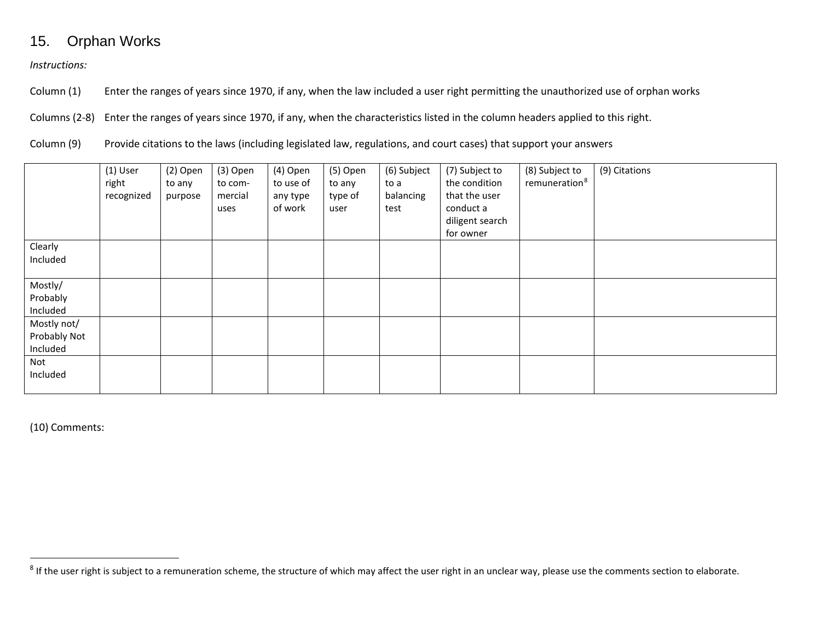# <span id="page-19-0"></span>15. Orphan Works

*Instructions:*

Column (1) Enter the ranges of years since 1970, if any, when the law included a user right permitting the unauthorized use of orphan works

Columns (2-8) Enter the ranges of years since 1970, if any, when the characteristics listed in the column headers applied to this right.

Column (9) Provide citations to the laws (including legislated law, regulations, and court cases) that support your answers

|                                         | $(1)$ User<br>right<br>recognized | (2) Open<br>to any<br>purpose | (3) Open<br>to com-<br>mercial<br>uses | (4) Open<br>to use of<br>any type<br>of work | (5) Open<br>to any<br>type of<br>user | (6) Subject<br>to a<br>balancing<br>test | (7) Subject to<br>the condition<br>that the user<br>conduct a<br>diligent search<br>for owner | (8) Subject to<br>remuneration <sup>8</sup> | (9) Citations |
|-----------------------------------------|-----------------------------------|-------------------------------|----------------------------------------|----------------------------------------------|---------------------------------------|------------------------------------------|-----------------------------------------------------------------------------------------------|---------------------------------------------|---------------|
| Clearly<br>Included                     |                                   |                               |                                        |                                              |                                       |                                          |                                                                                               |                                             |               |
| Mostly/<br>Probably<br>Included         |                                   |                               |                                        |                                              |                                       |                                          |                                                                                               |                                             |               |
| Mostly not/<br>Probably Not<br>Included |                                   |                               |                                        |                                              |                                       |                                          |                                                                                               |                                             |               |
| Not<br>Included                         |                                   |                               |                                        |                                              |                                       |                                          |                                                                                               |                                             |               |

(10) Comments:

<sup>&</sup>lt;sup>8</sup> If the user right is subject to a remuneration scheme, the structure of which may affect the user right in an unclear way, please use the comments section to elaborate.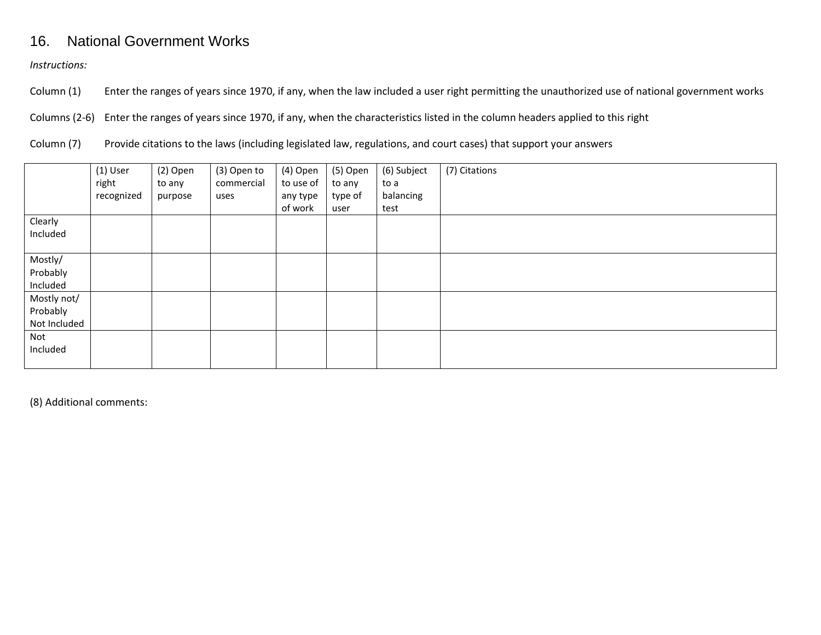# 16. National Government Works

*Instructions:*

Column (1) Enter the ranges of years since 1970, if any, when the law included a user right permitting the unauthorized use of national government works

Columns (2-6) Enter the ranges of years since 1970, if any, when the characteristics listed in the column headers applied to this right

Column (7) Provide citations to the laws (including legislated law, regulations, and court cases) that support your answers

|              | $(1)$ User | (2) Open | (3) Open to | (4) Open  | (5) Open | (6) Subject | (7) Citations |
|--------------|------------|----------|-------------|-----------|----------|-------------|---------------|
|              | right      | to any   | commercial  | to use of | to any   | to a        |               |
|              | recognized | purpose  | uses        | any type  | type of  | balancing   |               |
|              |            |          |             | of work   | user     | test        |               |
| Clearly      |            |          |             |           |          |             |               |
| Included     |            |          |             |           |          |             |               |
|              |            |          |             |           |          |             |               |
| Mostly/      |            |          |             |           |          |             |               |
| Probably     |            |          |             |           |          |             |               |
| Included     |            |          |             |           |          |             |               |
| Mostly not/  |            |          |             |           |          |             |               |
| Probably     |            |          |             |           |          |             |               |
| Not Included |            |          |             |           |          |             |               |
| Not          |            |          |             |           |          |             |               |
| Included     |            |          |             |           |          |             |               |
|              |            |          |             |           |          |             |               |

(8) Additional comments: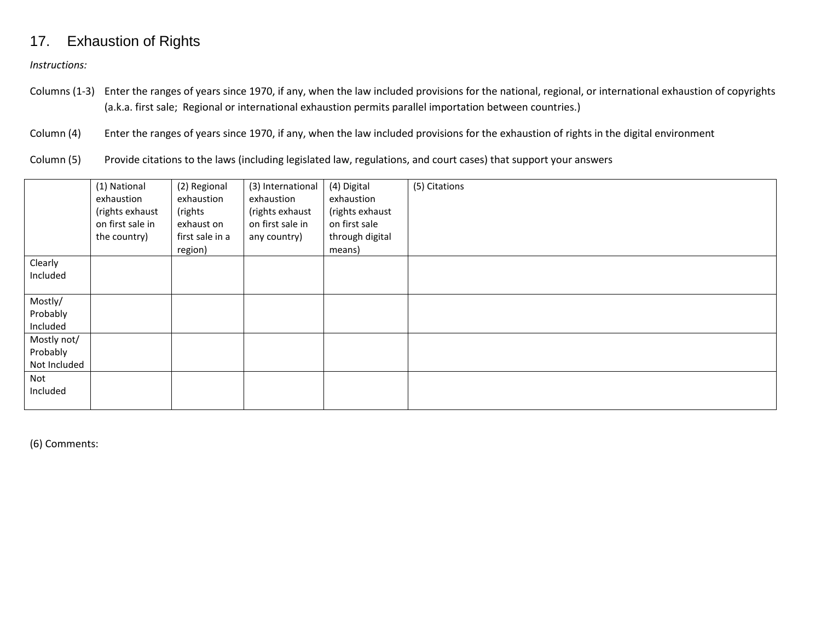### 17. Exhaustion of Rights

*Instructions:*

Columns (1-3) Enter the ranges of years since 1970, if any, when the law included provisions for the national, regional, or international exhaustion of copyrights (a.k.a. first sale; Regional or international exhaustion permits parallel importation between countries.)

Column (4) Enter the ranges of years since 1970, if any, when the law included provisions for the exhaustion of rights in the digital environment

Column (5) Provide citations to the laws (including legislated law, regulations, and court cases) that support your answers

|                                         | (1) National<br>exhaustion<br>(rights exhaust<br>on first sale in<br>the country) | (2) Regional<br>exhaustion<br>(rights<br>exhaust on<br>first sale in a<br>region) | (3) International<br>exhaustion<br>(rights exhaust<br>on first sale in<br>any country) | (4) Digital<br>exhaustion<br>(rights exhaust<br>on first sale<br>through digital<br>means) | (5) Citations |
|-----------------------------------------|-----------------------------------------------------------------------------------|-----------------------------------------------------------------------------------|----------------------------------------------------------------------------------------|--------------------------------------------------------------------------------------------|---------------|
| Clearly<br>Included                     |                                                                                   |                                                                                   |                                                                                        |                                                                                            |               |
| Mostly/<br>Probably<br>Included         |                                                                                   |                                                                                   |                                                                                        |                                                                                            |               |
| Mostly not/<br>Probably<br>Not Included |                                                                                   |                                                                                   |                                                                                        |                                                                                            |               |
| Not<br>Included                         |                                                                                   |                                                                                   |                                                                                        |                                                                                            |               |

(6) Comments: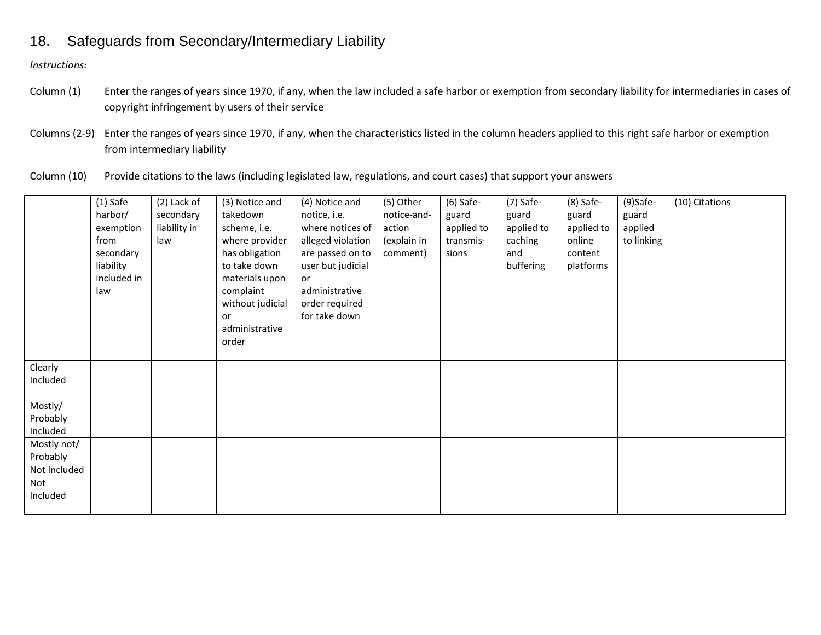# 18. Safeguards from Secondary/Intermediary Liability

*Instructions:*

- Column (1) Enter the ranges of years since 1970, if any, when the law included a safe harbor or exemption from secondary liability for intermediaries in cases of copyright infringement by users of their service
- Columns (2-9) Enter the ranges of years since 1970, if any, when the characteristics listed in the column headers applied to this right safe harbor or exemption from intermediary liability
- Column (10) Provide citations to the laws (including legislated law, regulations, and court cases) that support your answers

|              | $(1)$ Safe  | (2) Lack of  | (3) Notice and       | (4) Notice and                  | (5) Other   | $(6)$ Safe- | $(7)$ Safe- | $(8)$ Safe- | $(9)$ Safe- | (10) Citations |
|--------------|-------------|--------------|----------------------|---------------------------------|-------------|-------------|-------------|-------------|-------------|----------------|
|              | harbor/     | secondary    | takedown             | notice, i.e.                    | notice-and- | guard       | guard       | guard       | guard       |                |
|              | exemption   | liability in | scheme, i.e.         | where notices of                | action      | applied to  | applied to  | applied to  | applied     |                |
|              | from        | law          | where provider       | alleged violation               | (explain in | transmis-   | caching     | online      | to linking  |                |
|              | secondary   |              | has obligation       | are passed on to                | comment)    | sions       | and         | content     |             |                |
|              | liability   |              | to take down         | user but judicial               |             |             | buffering   | platforms   |             |                |
|              | included in |              | materials upon       | <b>or</b>                       |             |             |             |             |             |                |
|              | law         |              | complaint            | administrative                  |             |             |             |             |             |                |
|              |             |              | without judicial     | order required<br>for take down |             |             |             |             |             |                |
|              |             |              | or<br>administrative |                                 |             |             |             |             |             |                |
|              |             |              | order                |                                 |             |             |             |             |             |                |
|              |             |              |                      |                                 |             |             |             |             |             |                |
| Clearly      |             |              |                      |                                 |             |             |             |             |             |                |
| Included     |             |              |                      |                                 |             |             |             |             |             |                |
|              |             |              |                      |                                 |             |             |             |             |             |                |
| Mostly/      |             |              |                      |                                 |             |             |             |             |             |                |
| Probably     |             |              |                      |                                 |             |             |             |             |             |                |
| Included     |             |              |                      |                                 |             |             |             |             |             |                |
| Mostly not/  |             |              |                      |                                 |             |             |             |             |             |                |
| Probably     |             |              |                      |                                 |             |             |             |             |             |                |
| Not Included |             |              |                      |                                 |             |             |             |             |             |                |
| Not          |             |              |                      |                                 |             |             |             |             |             |                |
| Included     |             |              |                      |                                 |             |             |             |             |             |                |
|              |             |              |                      |                                 |             |             |             |             |             |                |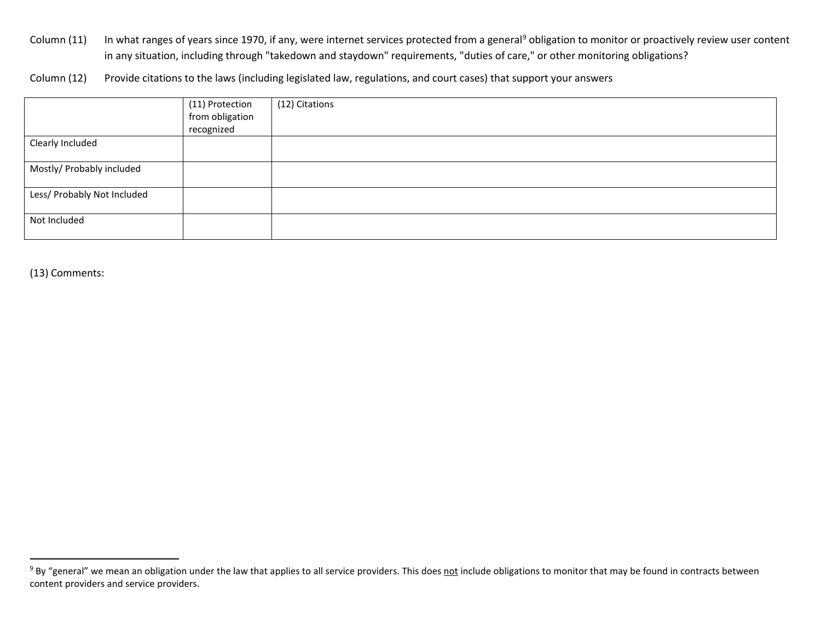<span id="page-23-0"></span>Column (11) In what ranges of years since 1[9](#page-23-0)70, if any, were internet services protected from a general<sup>9</sup> obligation to monitor or proactively review user content in any situation, including through "takedown and staydown" requirements, "duties of care," or other monitoring obligations?

Column (12) Provide citations to the laws (including legislated law, regulations, and court cases) that support your answers

|                             | (11) Protection | (12) Citations |
|-----------------------------|-----------------|----------------|
|                             | from obligation |                |
|                             | recognized      |                |
| Clearly Included            |                 |                |
|                             |                 |                |
| Mostly/ Probably included   |                 |                |
|                             |                 |                |
| Less/ Probably Not Included |                 |                |
|                             |                 |                |
| Not Included                |                 |                |
|                             |                 |                |

(13) Comments:

<sup>&</sup>lt;sup>9</sup> By "general" we mean an obligation under the law that applies to all service providers. This does not include obligations to monitor that may be found in contracts between content providers and service providers.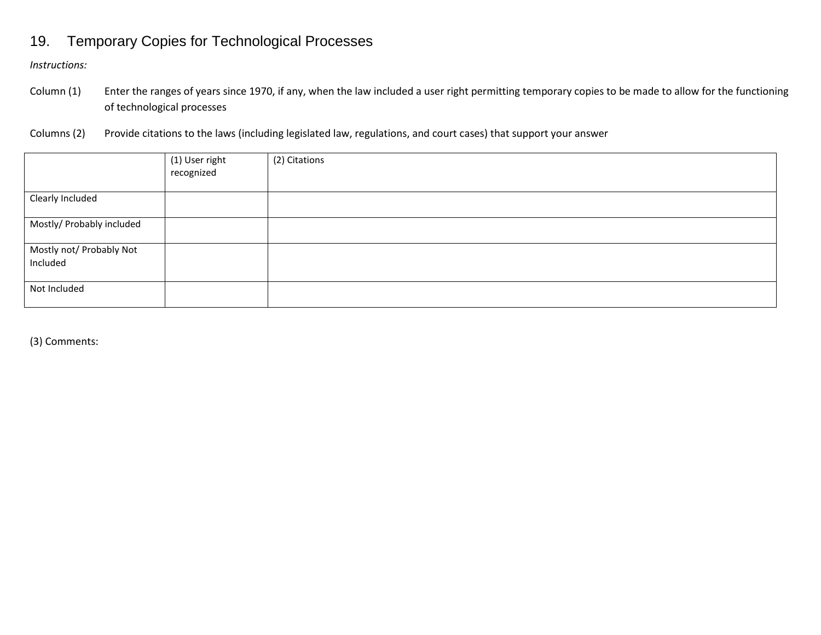# 19. Temporary Copies for Technological Processes

*Instructions:*

- Column (1) Enter the ranges of years since 1970, if any, when the law included a user right permitting temporary copies to be made to allow for the functioning of technological processes
- Columns (2) Provide citations to the laws (including legislated law, regulations, and court cases) that support your answer

|                                      | (1) User right<br>recognized | (2) Citations |
|--------------------------------------|------------------------------|---------------|
| Clearly Included                     |                              |               |
| Mostly/ Probably included            |                              |               |
| Mostly not/ Probably Not<br>Included |                              |               |
| Not Included                         |                              |               |

(3) Comments: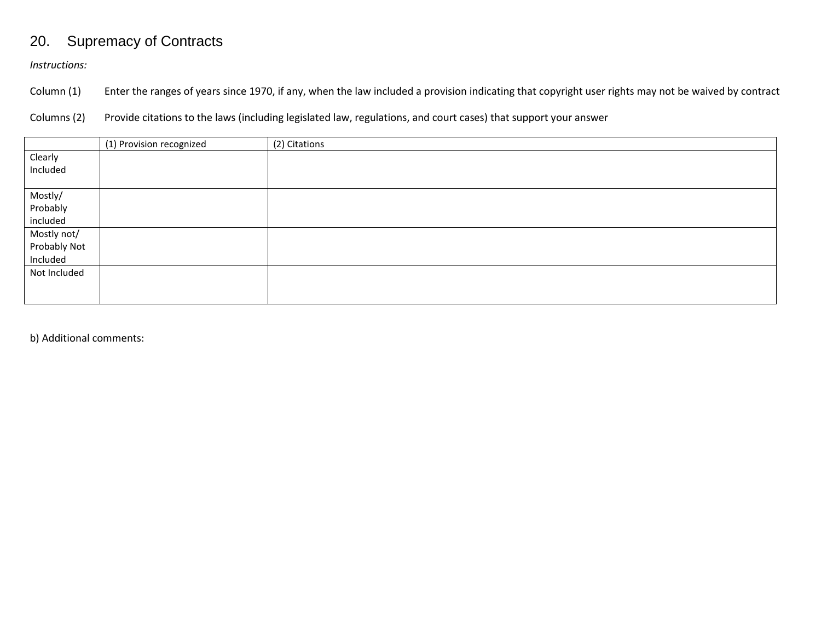# 20. Supremacy of Contracts

*Instructions:*

Column (1) Enter the ranges of years since 1970, if any, when the law included a provision indicating that copyright user rights may not be waived by contract

Columns (2) Provide citations to the laws (including legislated law, regulations, and court cases) that support your answer

|              | (1) Provision recognized | (2) Citations |
|--------------|--------------------------|---------------|
| Clearly      |                          |               |
| Included     |                          |               |
|              |                          |               |
| Mostly/      |                          |               |
| Probably     |                          |               |
| included     |                          |               |
| Mostly not/  |                          |               |
| Probably Not |                          |               |
| Included     |                          |               |
| Not Included |                          |               |
|              |                          |               |
|              |                          |               |

b) Additional comments: